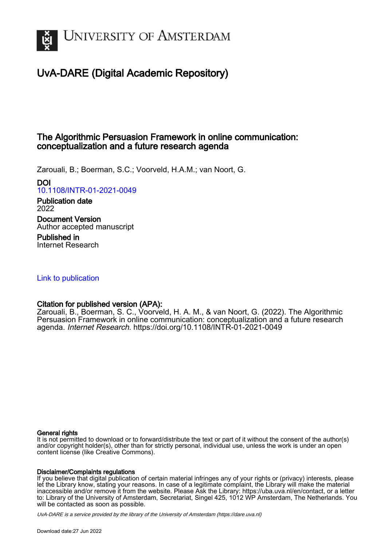

# UvA-DARE (Digital Academic Repository)

## The Algorithmic Persuasion Framework in online communication: conceptualization and a future research agenda

Zarouali, B.; Boerman, S.C.; Voorveld, H.A.M.; van Noort, G.

DOI

[10.1108/INTR-01-2021-0049](https://doi.org/10.1108/INTR-01-2021-0049)

Publication date 2022

Document Version Author accepted manuscript

Published in Internet Research

[Link to publication](https://dare.uva.nl/personal/pure/en/publications/the-algorithmic-persuasion-framework-in-online-communication-conceptualization-and-a-future-research-agenda(be81e4e7-a81f-4dd6-a72b-954b1e0cf279).html)

### Citation for published version (APA):

Zarouali, B., Boerman, S. C., Voorveld, H. A. M., & van Noort, G. (2022). The Algorithmic Persuasion Framework in online communication: conceptualization and a future research agenda. Internet Research. <https://doi.org/10.1108/INTR-01-2021-0049>

#### General rights

It is not permitted to download or to forward/distribute the text or part of it without the consent of the author(s) and/or copyright holder(s), other than for strictly personal, individual use, unless the work is under an open content license (like Creative Commons).

#### Disclaimer/Complaints regulations

If you believe that digital publication of certain material infringes any of your rights or (privacy) interests, please let the Library know, stating your reasons. In case of a legitimate complaint, the Library will make the material inaccessible and/or remove it from the website. Please Ask the Library: https://uba.uva.nl/en/contact, or a letter to: Library of the University of Amsterdam, Secretariat, Singel 425, 1012 WP Amsterdam, The Netherlands. You will be contacted as soon as possible.

UvA-DARE is a service provided by the library of the University of Amsterdam (http*s*://dare.uva.nl)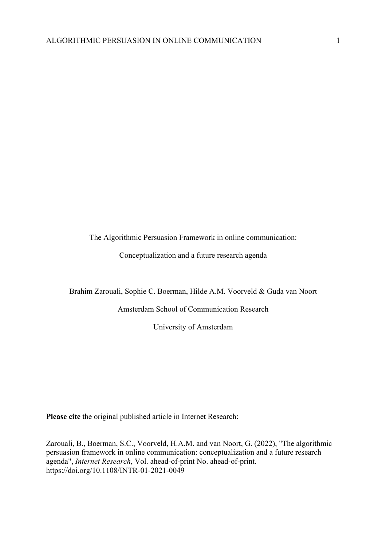The Algorithmic Persuasion Framework in online communication:

Conceptualization and a future research agenda

Brahim Zarouali, Sophie C. Boerman, Hilde A.M. Voorveld & Guda van Noort

Amsterdam School of Communication Research

University of Amsterdam

**Please cite** the original published article in Internet Research:

Zarouali, B., Boerman, S.C., Voorveld, H.A.M. and van Noort, G. (2022), "The algorithmic persuasion framework in online communication: conceptualization and a future research agenda", *Internet Research*, Vol. ahead-of-print No. ahead-of-print. https://doi.org/10.1108/INTR-01-2021-0049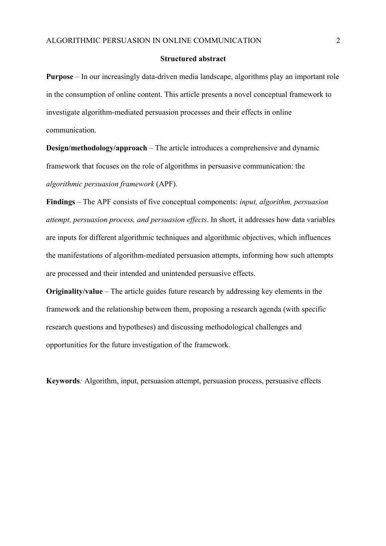#### **Structured abstract**

**Purpose** – In our increasingly data-driven media landscape, algorithms play an important role in the consumption of online content. This article presents a novel conceptual framework to investigate algorithm-mediated persuasion processes and their effects in online communication.

**Design/methodology/approach** – The article introduces a comprehensive and dynamic framework that focuses on the role of algorithms in persuasive communication: the *algorithmic persuasion framework* (APF).

**Findings** – The APF consists of five conceptual components: *input, algorithm, persuasion attempt, persuasion process, and persuasion effects*. In short, it addresses how data variables are inputs for different algorithmic techniques and algorithmic objectives, which influences the manifestations of algorithm-mediated persuasion attempts, informing how such attempts are processed and their intended and unintended persuasive effects.

**Originality/value** – The article guides future research by addressing key elements in the framework and the relationship between them, proposing a research agenda (with specific research questions and hypotheses) and discussing methodological challenges and opportunities for the future investigation of the framework.

**Keywords***:* Algorithm, input, persuasion attempt, persuasion process, persuasive effects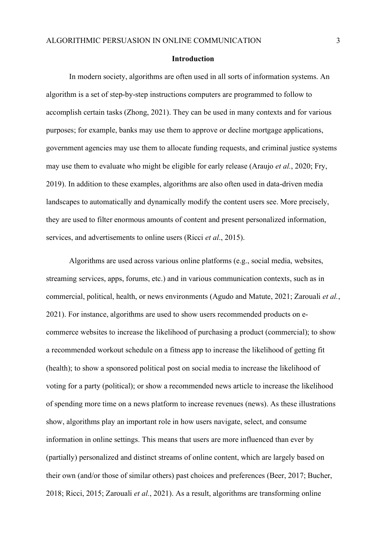#### **Introduction**

In modern society, algorithms are often used in all sorts of information systems. An algorithm is a set of step-by-step instructions computers are programmed to follow to accomplish certain tasks (Zhong, 2021). They can be used in many contexts and for various purposes; for example, banks may use them to approve or decline mortgage applications, government agencies may use them to allocate funding requests, and criminal justice systems may use them to evaluate who might be eligible for early release (Araujo *et al.*, 2020; Fry, 2019). In addition to these examples, algorithms are also often used in data-driven media landscapes to automatically and dynamically modify the content users see. More precisely, they are used to filter enormous amounts of content and present personalized information, services, and advertisements to online users (Ricci *et al*., 2015).

Algorithms are used across various online platforms (e.g., social media, websites, streaming services, apps, forums, etc.) and in various communication contexts, such as in commercial, political, health, or news environments (Agudo and Matute, 2021; Zarouali *et al.*, 2021). For instance, algorithms are used to show users recommended products on ecommerce websites to increase the likelihood of purchasing a product (commercial); to show a recommended workout schedule on a fitness app to increase the likelihood of getting fit (health); to show a sponsored political post on social media to increase the likelihood of voting for a party (political); or show a recommended news article to increase the likelihood of spending more time on a news platform to increase revenues (news). As these illustrations show, algorithms play an important role in how users navigate, select, and consume information in online settings. This means that users are more influenced than ever by (partially) personalized and distinct streams of online content, which are largely based on their own (and/or those of similar others) past choices and preferences (Beer, 2017; Bucher, 2018; Ricci, 2015; Zarouali *et al.*, 2021). As a result, algorithms are transforming online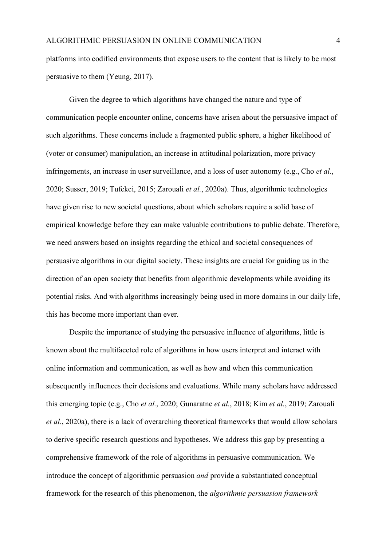platforms into codified environments that expose users to the content that is likely to be most persuasive to them (Yeung, 2017).

Given the degree to which algorithms have changed the nature and type of communication people encounter online, concerns have arisen about the persuasive impact of such algorithms. These concerns include a fragmented public sphere, a higher likelihood of (voter or consumer) manipulation, an increase in attitudinal polarization, more privacy infringements, an increase in user surveillance, and a loss of user autonomy (e.g., Cho *et al.*, 2020; Susser, 2019; Tufekci, 2015; Zarouali *et al.*, 2020a). Thus, algorithmic technologies have given rise to new societal questions, about which scholars require a solid base of empirical knowledge before they can make valuable contributions to public debate. Therefore, we need answers based on insights regarding the ethical and societal consequences of persuasive algorithms in our digital society. These insights are crucial for guiding us in the direction of an open society that benefits from algorithmic developments while avoiding its potential risks. And with algorithms increasingly being used in more domains in our daily life, this has become more important than ever.

Despite the importance of studying the persuasive influence of algorithms, little is known about the multifaceted role of algorithms in how users interpret and interact with online information and communication, as well as how and when this communication subsequently influences their decisions and evaluations. While many scholars have addressed this emerging topic (e.g., Cho *et al.*, 2020; Gunaratne *et al.*, 2018; Kim *et al.*, 2019; Zarouali *et al.*, 2020a), there is a lack of overarching theoretical frameworks that would allow scholars to derive specific research questions and hypotheses. We address this gap by presenting a comprehensive framework of the role of algorithms in persuasive communication. We introduce the concept of algorithmic persuasion *and* provide a substantiated conceptual framework for the research of this phenomenon, the *algorithmic persuasion framework*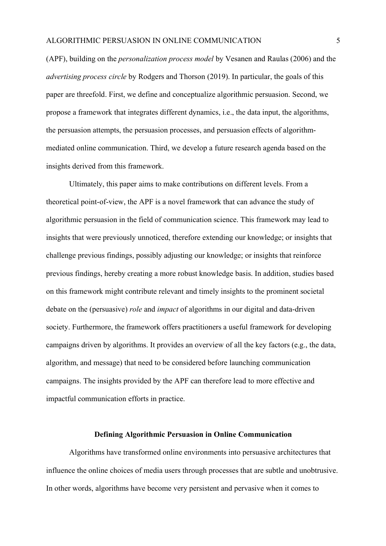(APF), building on the *personalization process model* by Vesanen and Raulas (2006) and the *advertising process circle* by Rodgers and Thorson (2019). In particular, the goals of this paper are threefold. First, we define and conceptualize algorithmic persuasion. Second, we propose a framework that integrates different dynamics, i.e., the data input, the algorithms, the persuasion attempts, the persuasion processes, and persuasion effects of algorithmmediated online communication. Third, we develop a future research agenda based on the insights derived from this framework.

Ultimately, this paper aims to make contributions on different levels. From a theoretical point-of-view, the APF is a novel framework that can advance the study of algorithmic persuasion in the field of communication science. This framework may lead to insights that were previously unnoticed, therefore extending our knowledge; or insights that challenge previous findings, possibly adjusting our knowledge; or insights that reinforce previous findings, hereby creating a more robust knowledge basis. In addition, studies based on this framework might contribute relevant and timely insights to the prominent societal debate on the (persuasive) *role* and *impact* of algorithms in our digital and data-driven society. Furthermore, the framework offers practitioners a useful framework for developing campaigns driven by algorithms. It provides an overview of all the key factors (e.g., the data, algorithm, and message) that need to be considered before launching communication campaigns. The insights provided by the APF can therefore lead to more effective and impactful communication efforts in practice.

#### **Defining Algorithmic Persuasion in Online Communication**

Algorithms have transformed online environments into persuasive architectures that influence the online choices of media users through processes that are subtle and unobtrusive. In other words, algorithms have become very persistent and pervasive when it comes to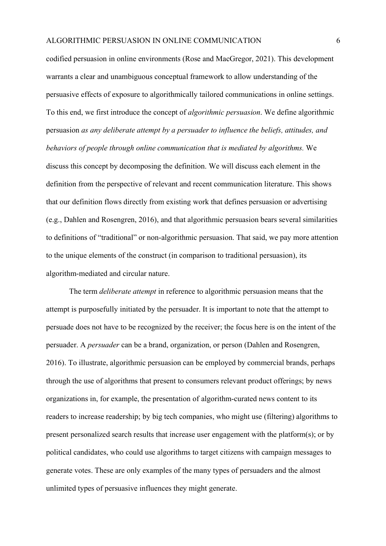codified persuasion in online environments (Rose and MacGregor, 2021). This development warrants a clear and unambiguous conceptual framework to allow understanding of the persuasive effects of exposure to algorithmically tailored communications in online settings. To this end, we first introduce the concept of *algorithmic persuasion*. We define algorithmic persuasion *as any deliberate attempt by a persuader to influence the beliefs, attitudes, and behaviors of people through online communication that is mediated by algorithms.* We discuss this concept by decomposing the definition. We will discuss each element in the definition from the perspective of relevant and recent communication literature. This shows that our definition flows directly from existing work that defines persuasion or advertising (e.g., Dahlen and Rosengren, 2016), and that algorithmic persuasion bears several similarities to definitions of "traditional" or non-algorithmic persuasion. That said, we pay more attention to the unique elements of the construct (in comparison to traditional persuasion), its algorithm-mediated and circular nature.

The term *deliberate attempt* in reference to algorithmic persuasion means that the attempt is purposefully initiated by the persuader. It is important to note that the attempt to persuade does not have to be recognized by the receiver; the focus here is on the intent of the persuader. A *persuader* can be a brand, organization, or person (Dahlen and Rosengren, 2016). To illustrate, algorithmic persuasion can be employed by commercial brands, perhaps through the use of algorithms that present to consumers relevant product offerings; by news organizations in, for example, the presentation of algorithm-curated news content to its readers to increase readership; by big tech companies, who might use (filtering) algorithms to present personalized search results that increase user engagement with the platform(s); or by political candidates, who could use algorithms to target citizens with campaign messages to generate votes. These are only examples of the many types of persuaders and the almost unlimited types of persuasive influences they might generate.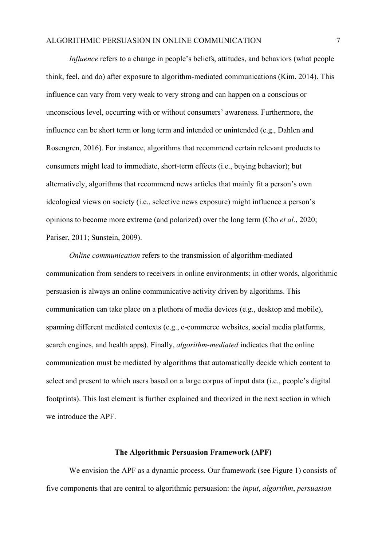*Influence* refers to a change in people's beliefs, attitudes, and behaviors (what people think, feel, and do) after exposure to algorithm-mediated communications (Kim, 2014). This influence can vary from very weak to very strong and can happen on a conscious or unconscious level, occurring with or without consumers' awareness. Furthermore, the influence can be short term or long term and intended or unintended (e.g., Dahlen and Rosengren, 2016). For instance, algorithms that recommend certain relevant products to consumers might lead to immediate, short-term effects (i.e., buying behavior); but alternatively, algorithms that recommend news articles that mainly fit a person's own ideological views on society (i.e., selective news exposure) might influence a person's opinions to become more extreme (and polarized) over the long term (Cho *et al.*, 2020; Pariser, 2011; Sunstein, 2009).

*Online communication* refers to the transmission of algorithm-mediated communication from senders to receivers in online environments; in other words, algorithmic persuasion is always an online communicative activity driven by algorithms. This communication can take place on a plethora of media devices (e.g., desktop and mobile), spanning different mediated contexts (e.g., e-commerce websites, social media platforms, search engines, and health apps). Finally, *algorithm-mediated* indicates that the online communication must be mediated by algorithms that automatically decide which content to select and present to which users based on a large corpus of input data (i.e., people's digital footprints). This last element is further explained and theorized in the next section in which we introduce the APF.

#### **The Algorithmic Persuasion Framework (APF)**

We envision the APF as a dynamic process. Our framework (see Figure 1) consists of five components that are central to algorithmic persuasion: the *input*, *algorithm*, *persuasion*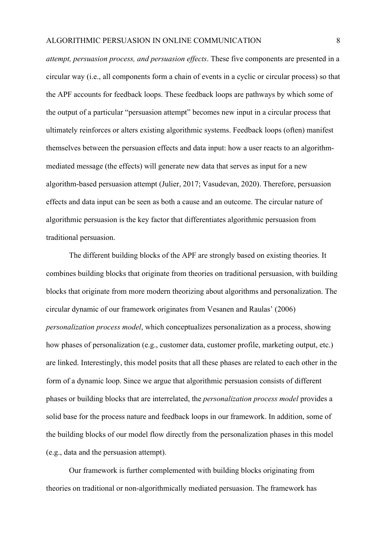*attempt, persuasion process, and persuasion effects*. These five components are presented in a circular way (i.e., all components form a chain of events in a cyclic or circular process) so that the APF accounts for feedback loops. These feedback loops are pathways by which some of the output of a particular "persuasion attempt" becomes new input in a circular process that ultimately reinforces or alters existing algorithmic systems. Feedback loops (often) manifest themselves between the persuasion effects and data input: how a user reacts to an algorithmmediated message (the effects) will generate new data that serves as input for a new algorithm-based persuasion attempt (Julier, 2017; Vasudevan, 2020). Therefore, persuasion effects and data input can be seen as both a cause and an outcome. The circular nature of algorithmic persuasion is the key factor that differentiates algorithmic persuasion from traditional persuasion.

The different building blocks of the APF are strongly based on existing theories. It combines building blocks that originate from theories on traditional persuasion, with building blocks that originate from more modern theorizing about algorithms and personalization. The circular dynamic of our framework originates from Vesanen and Raulas' (2006) *personalization process model*, which conceptualizes personalization as a process, showing how phases of personalization (e.g., customer data, customer profile, marketing output, etc.) are linked. Interestingly, this model posits that all these phases are related to each other in the form of a dynamic loop. Since we argue that algorithmic persuasion consists of different phases or building blocks that are interrelated, the *personalization process model* provides a solid base for the process nature and feedback loops in our framework. In addition, some of the building blocks of our model flow directly from the personalization phases in this model (e.g., data and the persuasion attempt).

Our framework is further complemented with building blocks originating from theories on traditional or non-algorithmically mediated persuasion. The framework has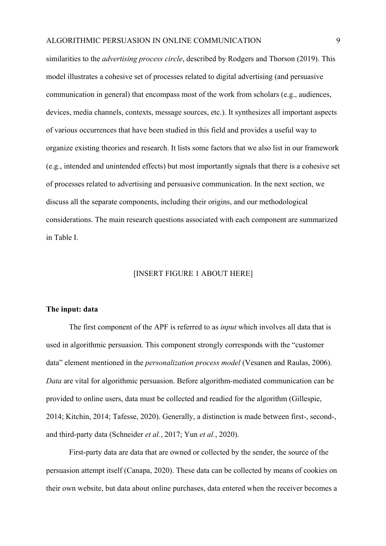similarities to the *advertising process circle*, described by Rodgers and Thorson (2019). This model illustrates a cohesive set of processes related to digital advertising (and persuasive communication in general) that encompass most of the work from scholars (e.g., audiences, devices, media channels, contexts, message sources, etc.). It synthesizes all important aspects of various occurrences that have been studied in this field and provides a useful way to organize existing theories and research. It lists some factors that we also list in our framework (e.g., intended and unintended effects) but most importantly signals that there is a cohesive set of processes related to advertising and persuasive communication. In the next section, we discuss all the separate components, including their origins, and our methodological considerations. The main research questions associated with each component are summarized in Table I.

### [INSERT FIGURE 1 ABOUT HERE]

#### **The input: data**

The first component of the APF is referred to as *input* which involves all data that is used in algorithmic persuasion. This component strongly corresponds with the "customer data" element mentioned in the *personalization process model* (Vesanen and Raulas, 2006). *Data* are vital for algorithmic persuasion. Before algorithm-mediated communication can be provided to online users, data must be collected and readied for the algorithm (Gillespie, 2014; Kitchin, 2014; Tafesse, 2020). Generally, a distinction is made between first-, second-, and third-party data (Schneider *et al.*, 2017; Yun *et al.*, 2020).

First-party data are data that are owned or collected by the sender, the source of the persuasion attempt itself (Canapa, 2020). These data can be collected by means of cookies on their own website, but data about online purchases, data entered when the receiver becomes a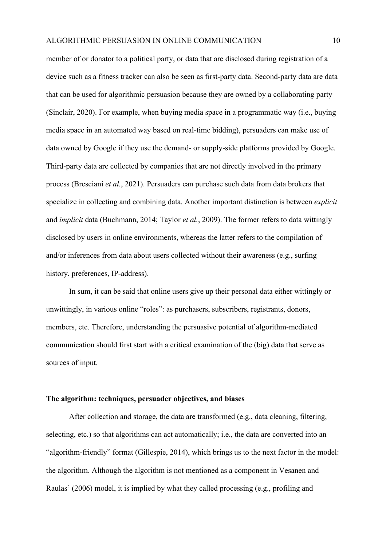member of or donator to a political party, or data that are disclosed during registration of a device such as a fitness tracker can also be seen as first-party data. Second-party data are data that can be used for algorithmic persuasion because they are owned by a collaborating party (Sinclair, 2020). For example, when buying media space in a programmatic way (i.e., buying media space in an automated way based on real-time bidding), persuaders can make use of data owned by Google if they use the demand- or supply-side platforms provided by Google. Third-party data are collected by companies that are not directly involved in the primary process (Bresciani *et al.*, 2021). Persuaders can purchase such data from data brokers that specialize in collecting and combining data. Another important distinction is between *explicit* and *implicit* data (Buchmann, 2014; Taylor *et al.*, 2009). The former refers to data wittingly disclosed by users in online environments, whereas the latter refers to the compilation of and/or inferences from data about users collected without their awareness (e.g., surfing history, preferences, IP-address).

In sum, it can be said that online users give up their personal data either wittingly or unwittingly, in various online "roles": as purchasers, subscribers, registrants, donors, members, etc. Therefore, understanding the persuasive potential of algorithm-mediated communication should first start with a critical examination of the (big) data that serve as sources of input.

#### **The algorithm: techniques, persuader objectives, and biases**

After collection and storage, the data are transformed (e.g., data cleaning, filtering, selecting, etc.) so that algorithms can act automatically; i.e., the data are converted into an "algorithm-friendly" format (Gillespie, 2014), which brings us to the next factor in the model: the algorithm. Although the algorithm is not mentioned as a component in Vesanen and Raulas' (2006) model, it is implied by what they called processing (e.g., profiling and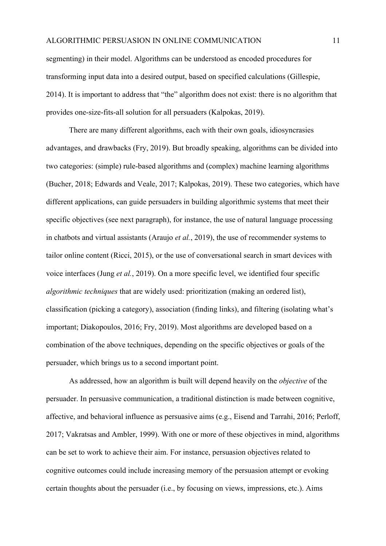segmenting) in their model. Algorithms can be understood as encoded procedures for transforming input data into a desired output, based on specified calculations (Gillespie, 2014). It is important to address that "the" algorithm does not exist: there is no algorithm that provides one-size-fits-all solution for all persuaders (Kalpokas, 2019).

There are many different algorithms, each with their own goals, idiosyncrasies advantages, and drawbacks (Fry, 2019). But broadly speaking, algorithms can be divided into two categories: (simple) rule-based algorithms and (complex) machine learning algorithms (Bucher, 2018; Edwards and Veale, 2017; Kalpokas, 2019). These two categories, which have different applications, can guide persuaders in building algorithmic systems that meet their specific objectives (see next paragraph), for instance, the use of natural language processing in chatbots and virtual assistants (Araujo *et al.*, 2019), the use of recommender systems to tailor online content (Ricci, 2015), or the use of conversational search in smart devices with voice interfaces (Jung *et al.*, 2019). On a more specific level, we identified four specific *algorithmic techniques* that are widely used: prioritization (making an ordered list), classification (picking a category), association (finding links), and filtering (isolating what's important; Diakopoulos, 2016; Fry, 2019). Most algorithms are developed based on a combination of the above techniques, depending on the specific objectives or goals of the persuader, which brings us to a second important point.

As addressed, how an algorithm is built will depend heavily on the *objective* of the persuader. In persuasive communication, a traditional distinction is made between cognitive, affective, and behavioral influence as persuasive aims (e.g., Eisend and Tarrahi, 2016; Perloff, 2017; Vakratsas and Ambler, 1999). With one or more of these objectives in mind, algorithms can be set to work to achieve their aim. For instance, persuasion objectives related to cognitive outcomes could include increasing memory of the persuasion attempt or evoking certain thoughts about the persuader (i.e., by focusing on views, impressions, etc.). Aims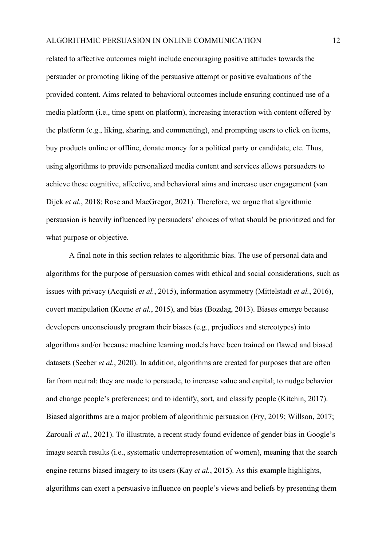related to affective outcomes might include encouraging positive attitudes towards the persuader or promoting liking of the persuasive attempt or positive evaluations of the provided content. Aims related to behavioral outcomes include ensuring continued use of a media platform (i.e., time spent on platform), increasing interaction with content offered by the platform (e.g., liking, sharing, and commenting), and prompting users to click on items, buy products online or offline, donate money for a political party or candidate, etc. Thus, using algorithms to provide personalized media content and services allows persuaders to achieve these cognitive, affective, and behavioral aims and increase user engagement (van Dijck *et al.*, 2018; Rose and MacGregor, 2021). Therefore, we argue that algorithmic persuasion is heavily influenced by persuaders' choices of what should be prioritized and for what purpose or objective.

A final note in this section relates to algorithmic bias. The use of personal data and algorithms for the purpose of persuasion comes with ethical and social considerations, such as issues with privacy (Acquisti *et al.*, 2015), information asymmetry (Mittelstadt *et al.*, 2016), covert manipulation (Koene *et al.*, 2015), and bias (Bozdag, 2013). Biases emerge because developers unconsciously program their biases (e.g., prejudices and stereotypes) into algorithms and/or because machine learning models have been trained on flawed and biased datasets (Seeber *et al.*, 2020). In addition, algorithms are created for purposes that are often far from neutral: they are made to persuade, to increase value and capital; to nudge behavior and change people's preferences; and to identify, sort, and classify people (Kitchin, 2017). Biased algorithms are a major problem of algorithmic persuasion (Fry, 2019; Willson, 2017; Zarouali *et al.*, 2021). To illustrate, a recent study found evidence of gender bias in Google's image search results (i.e., systematic underrepresentation of women), meaning that the search engine returns biased imagery to its users (Kay *et al.*, 2015). As this example highlights, algorithms can exert a persuasive influence on people's views and beliefs by presenting them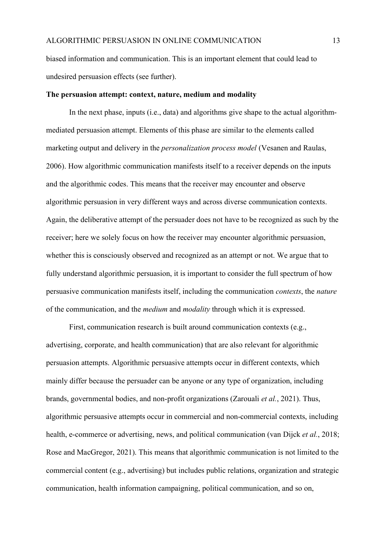biased information and communication. This is an important element that could lead to undesired persuasion effects (see further).

#### **The persuasion attempt: context, nature, medium and modality**

In the next phase, inputs (i.e., data) and algorithms give shape to the actual algorithmmediated persuasion attempt. Elements of this phase are similar to the elements called marketing output and delivery in the *personalization process model* (Vesanen and Raulas, 2006). How algorithmic communication manifests itself to a receiver depends on the inputs and the algorithmic codes. This means that the receiver may encounter and observe algorithmic persuasion in very different ways and across diverse communication contexts. Again, the deliberative attempt of the persuader does not have to be recognized as such by the receiver; here we solely focus on how the receiver may encounter algorithmic persuasion, whether this is consciously observed and recognized as an attempt or not. We argue that to fully understand algorithmic persuasion, it is important to consider the full spectrum of how persuasive communication manifests itself, including the communication *contexts*, the *nature* of the communication, and the *medium* and *modality* through which it is expressed.

First, communication research is built around communication contexts (e.g., advertising, corporate, and health communication) that are also relevant for algorithmic persuasion attempts. Algorithmic persuasive attempts occur in different contexts, which mainly differ because the persuader can be anyone or any type of organization, including brands, governmental bodies, and non-profit organizations (Zarouali *et al.*, 2021). Thus, algorithmic persuasive attempts occur in commercial and non-commercial contexts, including health, e-commerce or advertising, news, and political communication (van Dijck *et al.*, 2018; Rose and MacGregor, 2021). This means that algorithmic communication is not limited to the commercial content (e.g., advertising) but includes public relations, organization and strategic communication, health information campaigning, political communication, and so on,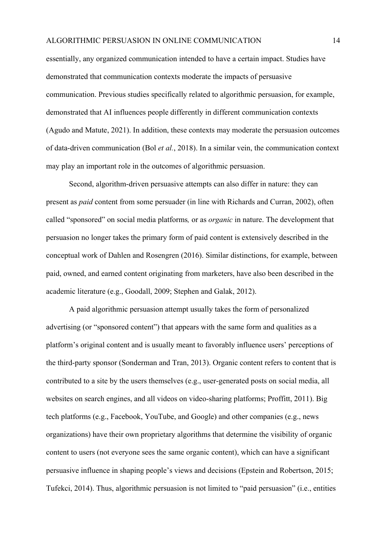essentially, any organized communication intended to have a certain impact. Studies have demonstrated that communication contexts moderate the impacts of persuasive communication. Previous studies specifically related to algorithmic persuasion, for example, demonstrated that AI influences people differently in different communication contexts (Agudo and Matute, 2021). In addition, these contexts may moderate the persuasion outcomes of data-driven communication (Bol *et al.*, 2018). In a similar vein, the communication context may play an important role in the outcomes of algorithmic persuasion.

Second, algorithm-driven persuasive attempts can also differ in nature: they can present as *paid* content from some persuader (in line with Richards and Curran, 2002), often called "sponsored" on social media platforms*,* or as *organic* in nature. The development that persuasion no longer takes the primary form of paid content is extensively described in the conceptual work of Dahlen and Rosengren (2016). Similar distinctions, for example, between paid, owned, and earned content originating from marketers, have also been described in the academic literature (e.g., Goodall, 2009; Stephen and Galak, 2012).

A paid algorithmic persuasion attempt usually takes the form of personalized advertising (or "sponsored content") that appears with the same form and qualities as a platform's original content and is usually meant to favorably influence users' perceptions of the third-party sponsor (Sonderman and Tran, 2013). Organic content refers to content that is contributed to a site by the users themselves (e.g., user-generated posts on social media, all websites on search engines, and all videos on video-sharing platforms; Proffitt, 2011). Big tech platforms (e.g., Facebook, YouTube, and Google) and other companies (e.g., news organizations) have their own proprietary algorithms that determine the visibility of organic content to users (not everyone sees the same organic content), which can have a significant persuasive influence in shaping people's views and decisions (Epstein and Robertson, 2015; Tufekci, 2014). Thus, algorithmic persuasion is not limited to "paid persuasion" (i.e., entities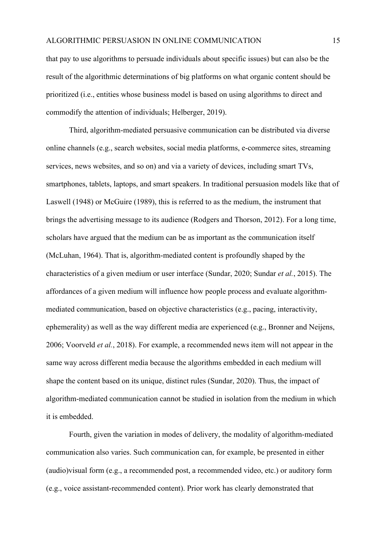that pay to use algorithms to persuade individuals about specific issues) but can also be the result of the algorithmic determinations of big platforms on what organic content should be prioritized (i.e., entities whose business model is based on using algorithms to direct and commodify the attention of individuals; Helberger, 2019).

Third, algorithm-mediated persuasive communication can be distributed via diverse online channels (e.g., search websites, social media platforms, e-commerce sites, streaming services, news websites, and so on) and via a variety of devices, including smart TVs, smartphones, tablets, laptops, and smart speakers. In traditional persuasion models like that of Laswell (1948) or McGuire (1989), this is referred to as the medium, the instrument that brings the advertising message to its audience (Rodgers and Thorson, 2012). For a long time, scholars have argued that the medium can be as important as the communication itself (McLuhan, 1964). That is, algorithm-mediated content is profoundly shaped by the characteristics of a given medium or user interface (Sundar, 2020; Sundar *et al.*, 2015). The affordances of a given medium will influence how people process and evaluate algorithmmediated communication, based on objective characteristics (e.g., pacing, interactivity, ephemerality) as well as the way different media are experienced (e.g., Bronner and Neijens, 2006; Voorveld *et al.*, 2018). For example, a recommended news item will not appear in the same way across different media because the algorithms embedded in each medium will shape the content based on its unique, distinct rules (Sundar, 2020). Thus, the impact of algorithm-mediated communication cannot be studied in isolation from the medium in which it is embedded.

Fourth, given the variation in modes of delivery, the modality of algorithm-mediated communication also varies. Such communication can, for example, be presented in either (audio)visual form (e.g., a recommended post, a recommended video, etc.) or auditory form (e.g., voice assistant-recommended content). Prior work has clearly demonstrated that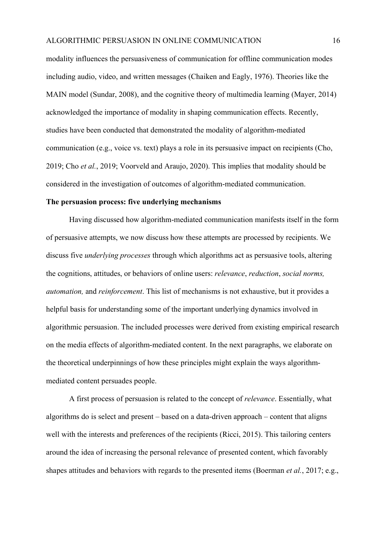modality influences the persuasiveness of communication for offline communication modes including audio, video, and written messages (Chaiken and Eagly, 1976). Theories like the MAIN model (Sundar, 2008), and the cognitive theory of multimedia learning (Mayer, 2014) acknowledged the importance of modality in shaping communication effects. Recently, studies have been conducted that demonstrated the modality of algorithm-mediated communication (e.g., voice vs. text) plays a role in its persuasive impact on recipients (Cho, 2019; Cho *et al.*, 2019; Voorveld and Araujo, 2020). This implies that modality should be considered in the investigation of outcomes of algorithm-mediated communication.

#### **The persuasion process: five underlying mechanisms**

Having discussed how algorithm-mediated communication manifests itself in the form of persuasive attempts, we now discuss how these attempts are processed by recipients. We discuss five *underlying processes* through which algorithms act as persuasive tools, altering the cognitions, attitudes, or behaviors of online users: *relevance*, *reduction*, *social norms, automation,* and *reinforcement*. This list of mechanisms is not exhaustive, but it provides a helpful basis for understanding some of the important underlying dynamics involved in algorithmic persuasion. The included processes were derived from existing empirical research on the media effects of algorithm-mediated content. In the next paragraphs, we elaborate on the theoretical underpinnings of how these principles might explain the ways algorithmmediated content persuades people.

A first process of persuasion is related to the concept of *relevance*. Essentially, what algorithms do is select and present – based on a data-driven approach – content that aligns well with the interests and preferences of the recipients (Ricci, 2015). This tailoring centers around the idea of increasing the personal relevance of presented content, which favorably shapes attitudes and behaviors with regards to the presented items (Boerman *et al.*, 2017; e.g.,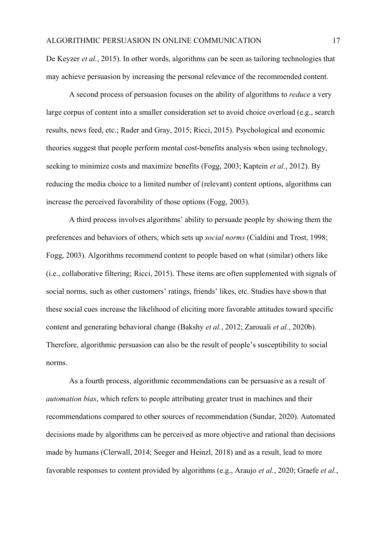De Keyzer *et al.*, 2015). In other words, algorithms can be seen as tailoring technologies that may achieve persuasion by increasing the personal relevance of the recommended content.

A second process of persuasion focuses on the ability of algorithms to *reduce* a very large corpus of content into a smaller consideration set to avoid choice overload (e.g., search results, news feed, etc.; Rader and Gray, 2015; Ricci, 2015). Psychological and economic theories suggest that people perform mental cost-benefits analysis when using technology, seeking to minimize costs and maximize benefits (Fogg, 2003; Kaptein *et al.*, 2012). By reducing the media choice to a limited number of (relevant) content options, algorithms can increase the perceived favorability of those options (Fogg, 2003).

A third process involves algorithms' ability to persuade people by showing them the preferences and behaviors of others, which sets up *social norms* (Cialdini and Trost, 1998; Fogg, 2003). Algorithms recommend content to people based on what (similar) others like (i.e., collaborative filtering; Ricci, 2015). These items are often supplemented with signals of social norms, such as other customers' ratings, friends' likes, etc. Studies have shown that these social cues increase the likelihood of eliciting more favorable attitudes toward specific content and generating behavioral change (Bakshy *et al.*, 2012; Zarouali *et al.*, 2020b). Therefore, algorithmic persuasion can also be the result of people's susceptibility to social norms.

As a fourth process, algorithmic recommendations can be persuasive as a result of *automation bias*, which refers to people attributing greater trust in machines and their recommendations compared to other sources of recommendation (Sundar, 2020). Automated decisions made by algorithms can be perceived as more objective and rational than decisions made by humans (Clerwall, 2014; Seeger and Heinzl, 2018) and as a result, lead to more favorable responses to content provided by algorithms (e.g., Araujo *et al.*, 2020; Graefe *et al.*,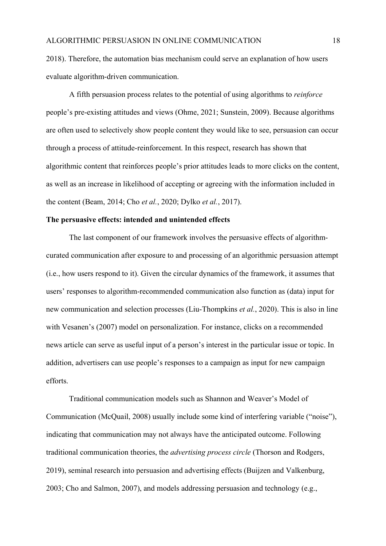2018). Therefore, the automation bias mechanism could serve an explanation of how users evaluate algorithm-driven communication.

A fifth persuasion process relates to the potential of using algorithms to *reinforce* people's pre-existing attitudes and views (Ohme, 2021; Sunstein, 2009). Because algorithms are often used to selectively show people content they would like to see, persuasion can occur through a process of attitude-reinforcement. In this respect, research has shown that algorithmic content that reinforces people's prior attitudes leads to more clicks on the content, as well as an increase in likelihood of accepting or agreeing with the information included in the content (Beam, 2014; Cho *et al.*, 2020; Dylko *et al.*, 2017).

#### **The persuasive effects: intended and unintended effects**

The last component of our framework involves the persuasive effects of algorithmcurated communication after exposure to and processing of an algorithmic persuasion attempt (i.e., how users respond to it). Given the circular dynamics of the framework, it assumes that users' responses to algorithm-recommended communication also function as (data) input for new communication and selection processes (Liu-Thompkins *et al.*, 2020). This is also in line with Vesanen's (2007) model on personalization. For instance, clicks on a recommended news article can serve as useful input of a person's interest in the particular issue or topic. In addition, advertisers can use people's responses to a campaign as input for new campaign efforts.

Traditional communication models such as Shannon and Weaver's Model of Communication (McQuail, 2008) usually include some kind of interfering variable ("noise"), indicating that communication may not always have the anticipated outcome. Following traditional communication theories, the *advertising process circle* (Thorson and Rodgers, 2019), seminal research into persuasion and advertising effects (Buijzen and Valkenburg, 2003; Cho and Salmon, 2007), and models addressing persuasion and technology (e.g.,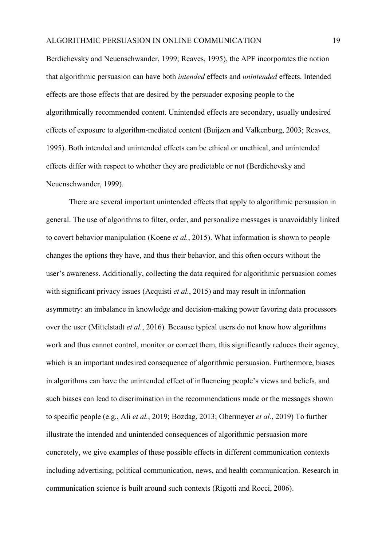Berdichevsky and Neuenschwander, 1999; Reaves, 1995), the APF incorporates the notion that algorithmic persuasion can have both *intended* effects and *unintended* effects. Intended effects are those effects that are desired by the persuader exposing people to the algorithmically recommended content. Unintended effects are secondary, usually undesired effects of exposure to algorithm-mediated content (Buijzen and Valkenburg, 2003; Reaves, 1995). Both intended and unintended effects can be ethical or unethical, and unintended effects differ with respect to whether they are predictable or not (Berdichevsky and Neuenschwander, 1999).

There are several important unintended effects that apply to algorithmic persuasion in general. The use of algorithms to filter, order, and personalize messages is unavoidably linked to covert behavior manipulation (Koene *et al.*, 2015). What information is shown to people changes the options they have, and thus their behavior, and this often occurs without the user's awareness. Additionally, collecting the data required for algorithmic persuasion comes with significant privacy issues (Acquisti *et al.*, 2015) and may result in information asymmetry: an imbalance in knowledge and decision-making power favoring data processors over the user (Mittelstadt *et al.*, 2016). Because typical users do not know how algorithms work and thus cannot control, monitor or correct them, this significantly reduces their agency, which is an important undesired consequence of algorithmic persuasion. Furthermore, biases in algorithms can have the unintended effect of influencing people's views and beliefs, and such biases can lead to discrimination in the recommendations made or the messages shown to specific people (e.g., Ali *et al.*, 2019; Bozdag, 2013; Obermeyer *et al.*, 2019) To further illustrate the intended and unintended consequences of algorithmic persuasion more concretely, we give examples of these possible effects in different communication contexts including advertising, political communication, news, and health communication. Research in communication science is built around such contexts (Rigotti and Rocci, 2006).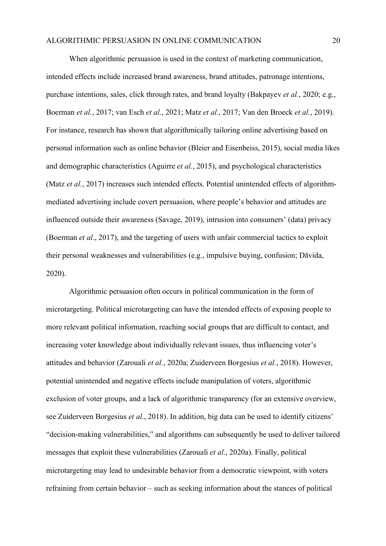When algorithmic persuasion is used in the context of marketing communication, intended effects include increased brand awareness, brand attitudes, patronage intentions, purchase intentions, sales, click through rates, and brand loyalty (Bakpayev *et al.*, 2020; e.g., Boerman *et al.*, 2017; van Esch *et al.*, 2021; Matz *et al.*, 2017; Van den Broeck *et al.*, 2019). For instance, research has shown that algorithmically tailoring online advertising based on personal information such as online behavior (Bleier and Eisenbeiss, 2015), social media likes and demographic characteristics (Aguirre *et al.*, 2015), and psychological characteristics (Matz *et al.*, 2017) increases such intended effects. Potential unintended effects of algorithmmediated advertising include covert persuasion, where people's behavior and attitudes are influenced outside their awareness (Savage, 2019), intrusion into consumers' (data) privacy (Boerman *et al*., 2017), and the targeting of users with unfair commercial tactics to exploit their personal weaknesses and vulnerabilities (e.g., impulsive buying, confusion; Dāvida, 2020).

Algorithmic persuasion often occurs in political communication in the form of microtargeting. Political microtargeting can have the intended effects of exposing people to more relevant political information, reaching social groups that are difficult to contact, and increasing voter knowledge about individually relevant issues, thus influencing voter's attitudes and behavior (Zarouali *et al.*, 2020a; Zuiderveen Borgesius *et al.*, 2018). However, potential unintended and negative effects include manipulation of voters, algorithmic exclusion of voter groups, and a lack of algorithmic transparency (for an extensive overview, see Zuiderveen Borgesius *et al*., 2018). In addition, big data can be used to identify citizens' "decision-making vulnerabilities," and algorithms can subsequently be used to deliver tailored messages that exploit these vulnerabilities (Zarouali *et al.*, 2020a). Finally, political microtargeting may lead to undesirable behavior from a democratic viewpoint, with voters refraining from certain behavior – such as seeking information about the stances of political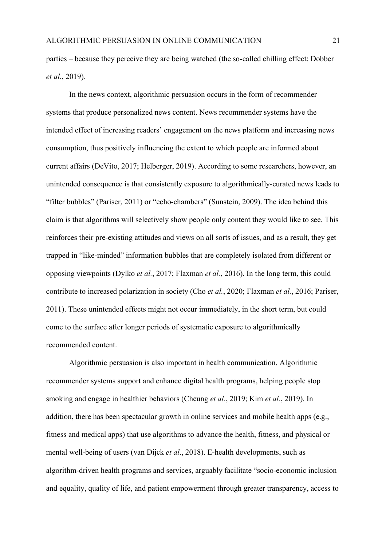parties – because they perceive they are being watched (the so-called chilling effect; Dobber *et al.*, 2019).

In the news context, algorithmic persuasion occurs in the form of recommender systems that produce personalized news content. News recommender systems have the intended effect of increasing readers' engagement on the news platform and increasing news consumption, thus positively influencing the extent to which people are informed about current affairs (DeVito, 2017; Helberger, 2019). According to some researchers, however, an unintended consequence is that consistently exposure to algorithmically-curated news leads to "filter bubbles" (Pariser, 2011) or "echo-chambers" (Sunstein, 2009). The idea behind this claim is that algorithms will selectively show people only content they would like to see. This reinforces their pre-existing attitudes and views on all sorts of issues, and as a result, they get trapped in "like-minded" information bubbles that are completely isolated from different or opposing viewpoints (Dylko *et al.*, 2017; Flaxman *et al.*, 2016). In the long term, this could contribute to increased polarization in society (Cho *et al.*, 2020; Flaxman *et al.*, 2016; Pariser, 2011). These unintended effects might not occur immediately, in the short term, but could come to the surface after longer periods of systematic exposure to algorithmically recommended content.

Algorithmic persuasion is also important in health communication. Algorithmic recommender systems support and enhance digital health programs, helping people stop smoking and engage in healthier behaviors (Cheung *et al.*, 2019; Kim *et al.*, 2019). In addition, there has been spectacular growth in online services and mobile health apps (e.g., fitness and medical apps) that use algorithms to advance the health, fitness, and physical or mental well-being of users (van Dijck *et al*., 2018). E-health developments, such as algorithm-driven health programs and services, arguably facilitate "socio-economic inclusion and equality, quality of life, and patient empowerment through greater transparency, access to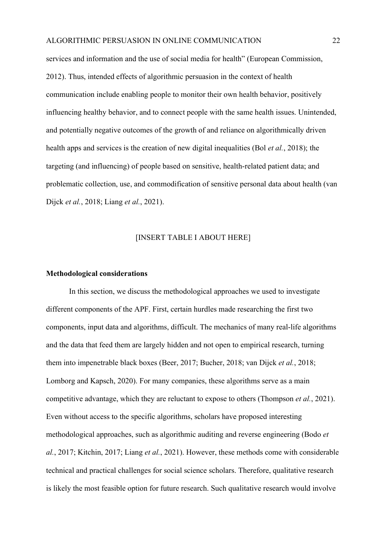services and information and the use of social media for health" (European Commission, 2012). Thus, intended effects of algorithmic persuasion in the context of health communication include enabling people to monitor their own health behavior, positively influencing healthy behavior, and to connect people with the same health issues. Unintended, and potentially negative outcomes of the growth of and reliance on algorithmically driven health apps and services is the creation of new digital inequalities (Bol *et al.*, 2018); the targeting (and influencing) of people based on sensitive, health-related patient data; and problematic collection, use, and commodification of sensitive personal data about health (van Dijck *et al.*, 2018; Liang *et al.*, 2021).

### [INSERT TABLE I ABOUT HERE]

### **Methodological considerations**

In this section, we discuss the methodological approaches we used to investigate different components of the APF. First, certain hurdles made researching the first two components, input data and algorithms, difficult. The mechanics of many real-life algorithms and the data that feed them are largely hidden and not open to empirical research, turning them into impenetrable black boxes (Beer, 2017; Bucher, 2018; van Dijck *et al.*, 2018; Lomborg and Kapsch, 2020). For many companies, these algorithms serve as a main competitive advantage, which they are reluctant to expose to others (Thompson *et al.*, 2021). Even without access to the specific algorithms, scholars have proposed interesting methodological approaches, such as algorithmic auditing and reverse engineering (Bodo *et al.*, 2017; Kitchin, 2017; Liang *et al.*, 2021). However, these methods come with considerable technical and practical challenges for social science scholars. Therefore, qualitative research is likely the most feasible option for future research. Such qualitative research would involve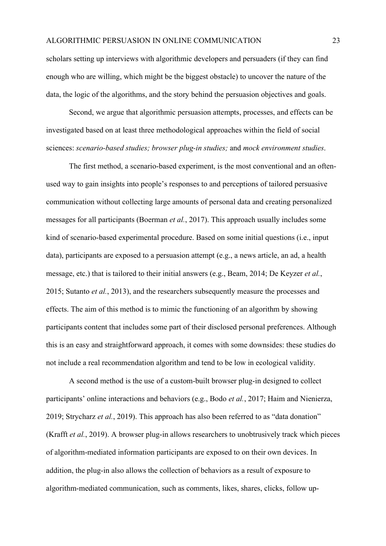scholars setting up interviews with algorithmic developers and persuaders (if they can find enough who are willing, which might be the biggest obstacle) to uncover the nature of the data, the logic of the algorithms, and the story behind the persuasion objectives and goals.

Second, we argue that algorithmic persuasion attempts, processes, and effects can be investigated based on at least three methodological approaches within the field of social sciences: *scenario-based studies; browser plug-in studies;* and *mock environment studies*.

The first method, a scenario-based experiment, is the most conventional and an oftenused way to gain insights into people's responses to and perceptions of tailored persuasive communication without collecting large amounts of personal data and creating personalized messages for all participants (Boerman *et al.*, 2017). This approach usually includes some kind of scenario-based experimental procedure. Based on some initial questions (i.e., input data), participants are exposed to a persuasion attempt (e.g., a news article, an ad, a health message, etc.) that is tailored to their initial answers (e.g., Beam, 2014; De Keyzer *et al.*, 2015; Sutanto *et al.*, 2013), and the researchers subsequently measure the processes and effects. The aim of this method is to mimic the functioning of an algorithm by showing participants content that includes some part of their disclosed personal preferences. Although this is an easy and straightforward approach, it comes with some downsides: these studies do not include a real recommendation algorithm and tend to be low in ecological validity.

A second method is the use of a custom-built browser plug-in designed to collect participants' online interactions and behaviors (e.g., Bodo *et al.*, 2017; Haim and Nienierza, 2019; Strycharz *et al.*, 2019). This approach has also been referred to as "data donation" (Krafft *et al.*, 2019). A browser plug-in allows researchers to unobtrusively track which pieces of algorithm-mediated information participants are exposed to on their own devices. In addition, the plug-in also allows the collection of behaviors as a result of exposure to algorithm-mediated communication, such as comments, likes, shares, clicks, follow up-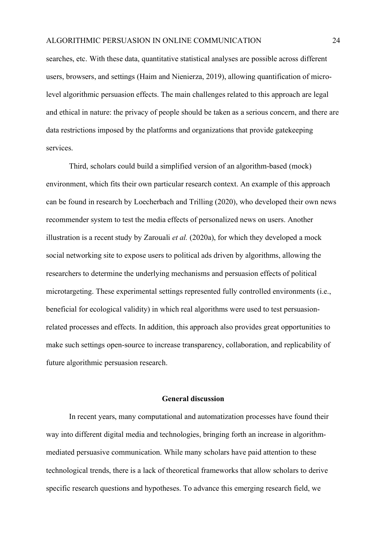searches, etc. With these data, quantitative statistical analyses are possible across different users, browsers, and settings (Haim and Nienierza, 2019), allowing quantification of microlevel algorithmic persuasion effects. The main challenges related to this approach are legal and ethical in nature: the privacy of people should be taken as a serious concern, and there are data restrictions imposed by the platforms and organizations that provide gatekeeping services.

Third, scholars could build a simplified version of an algorithm-based (mock) environment, which fits their own particular research context. An example of this approach can be found in research by Loecherbach and Trilling (2020), who developed their own news recommender system to test the media effects of personalized news on users. Another illustration is a recent study by Zarouali *et al.* (2020a), for which they developed a mock social networking site to expose users to political ads driven by algorithms, allowing the researchers to determine the underlying mechanisms and persuasion effects of political microtargeting. These experimental settings represented fully controlled environments (i.e., beneficial for ecological validity) in which real algorithms were used to test persuasionrelated processes and effects. In addition, this approach also provides great opportunities to make such settings open-source to increase transparency, collaboration, and replicability of future algorithmic persuasion research.

#### **General discussion**

In recent years, many computational and automatization processes have found their way into different digital media and technologies, bringing forth an increase in algorithmmediated persuasive communication. While many scholars have paid attention to these technological trends, there is a lack of theoretical frameworks that allow scholars to derive specific research questions and hypotheses. To advance this emerging research field, we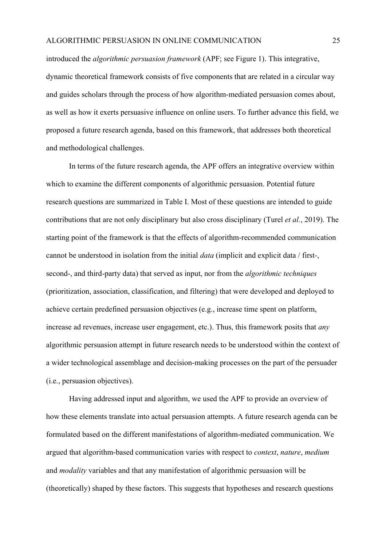introduced the *algorithmic persuasion framework* (APF; see Figure 1). This integrative, dynamic theoretical framework consists of five components that are related in a circular way and guides scholars through the process of how algorithm-mediated persuasion comes about, as well as how it exerts persuasive influence on online users. To further advance this field, we proposed a future research agenda, based on this framework, that addresses both theoretical and methodological challenges.

In terms of the future research agenda, the APF offers an integrative overview within which to examine the different components of algorithmic persuasion. Potential future research questions are summarized in Table I. Most of these questions are intended to guide contributions that are not only disciplinary but also cross disciplinary (Turel *et al.*, 2019). The starting point of the framework is that the effects of algorithm-recommended communication cannot be understood in isolation from the initial *data* (implicit and explicit data / first-, second-, and third-party data) that served as input, nor from the *algorithmic techniques* (prioritization, association, classification, and filtering) that were developed and deployed to achieve certain predefined persuasion objectives (e.g., increase time spent on platform, increase ad revenues, increase user engagement, etc.). Thus, this framework posits that *any* algorithmic persuasion attempt in future research needs to be understood within the context of a wider technological assemblage and decision-making processes on the part of the persuader (i.e., persuasion objectives).

Having addressed input and algorithm, we used the APF to provide an overview of how these elements translate into actual persuasion attempts. A future research agenda can be formulated based on the different manifestations of algorithm-mediated communication. We argued that algorithm-based communication varies with respect to *context*, *nature*, *medium* and *modality* variables and that any manifestation of algorithmic persuasion will be (theoretically) shaped by these factors. This suggests that hypotheses and research questions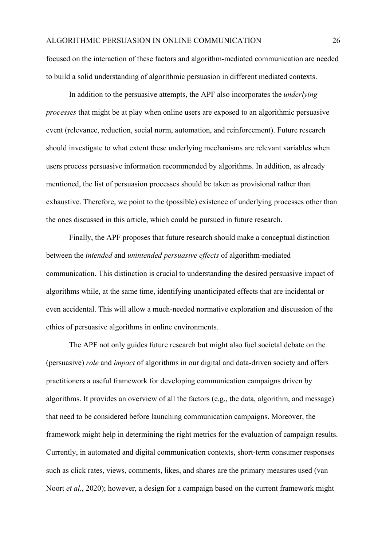focused on the interaction of these factors and algorithm-mediated communication are needed to build a solid understanding of algorithmic persuasion in different mediated contexts.

In addition to the persuasive attempts, the APF also incorporates the *underlying processes* that might be at play when online users are exposed to an algorithmic persuasive event (relevance, reduction, social norm, automation, and reinforcement). Future research should investigate to what extent these underlying mechanisms are relevant variables when users process persuasive information recommended by algorithms. In addition, as already mentioned, the list of persuasion processes should be taken as provisional rather than exhaustive. Therefore, we point to the (possible) existence of underlying processes other than the ones discussed in this article, which could be pursued in future research.

Finally, the APF proposes that future research should make a conceptual distinction between the *intended* and *unintended persuasive effects* of algorithm-mediated communication. This distinction is crucial to understanding the desired persuasive impact of algorithms while, at the same time, identifying unanticipated effects that are incidental or even accidental. This will allow a much-needed normative exploration and discussion of the ethics of persuasive algorithms in online environments.

The APF not only guides future research but might also fuel societal debate on the (persuasive) *role* and *impact* of algorithms in our digital and data-driven society and offers practitioners a useful framework for developing communication campaigns driven by algorithms. It provides an overview of all the factors (e.g., the data, algorithm, and message) that need to be considered before launching communication campaigns. Moreover, the framework might help in determining the right metrics for the evaluation of campaign results. Currently, in automated and digital communication contexts, short-term consumer responses such as click rates, views, comments, likes, and shares are the primary measures used (van Noort *et al.*, 2020); however, a design for a campaign based on the current framework might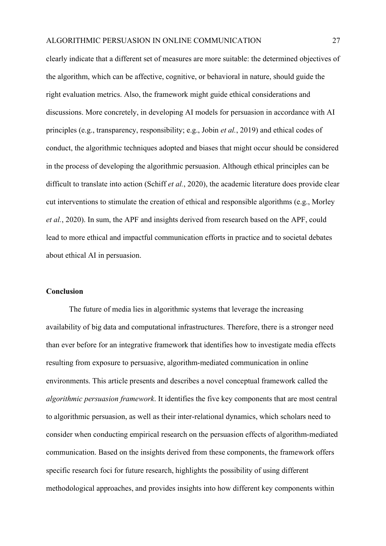clearly indicate that a different set of measures are more suitable: the determined objectives of the algorithm, which can be affective, cognitive, or behavioral in nature, should guide the right evaluation metrics. Also, the framework might guide ethical considerations and discussions. More concretely, in developing AI models for persuasion in accordance with AI principles (e.g., transparency, responsibility; e.g., Jobin *et al.*, 2019) and ethical codes of conduct, the algorithmic techniques adopted and biases that might occur should be considered in the process of developing the algorithmic persuasion. Although ethical principles can be difficult to translate into action (Schiff *et al.*, 2020), the academic literature does provide clear cut interventions to stimulate the creation of ethical and responsible algorithms (e.g., Morley *et al.*, 2020). In sum, the APF and insights derived from research based on the APF, could lead to more ethical and impactful communication efforts in practice and to societal debates about ethical AI in persuasion.

#### **Conclusion**

The future of media lies in algorithmic systems that leverage the increasing availability of big data and computational infrastructures. Therefore, there is a stronger need than ever before for an integrative framework that identifies how to investigate media effects resulting from exposure to persuasive, algorithm-mediated communication in online environments. This article presents and describes a novel conceptual framework called the *algorithmic persuasion framework*. It identifies the five key components that are most central to algorithmic persuasion, as well as their inter-relational dynamics, which scholars need to consider when conducting empirical research on the persuasion effects of algorithm-mediated communication. Based on the insights derived from these components, the framework offers specific research foci for future research, highlights the possibility of using different methodological approaches, and provides insights into how different key components within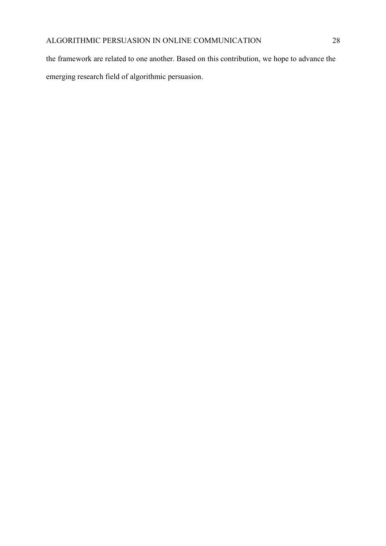the framework are related to one another. Based on this contribution, we hope to advance the emerging research field of algorithmic persuasion.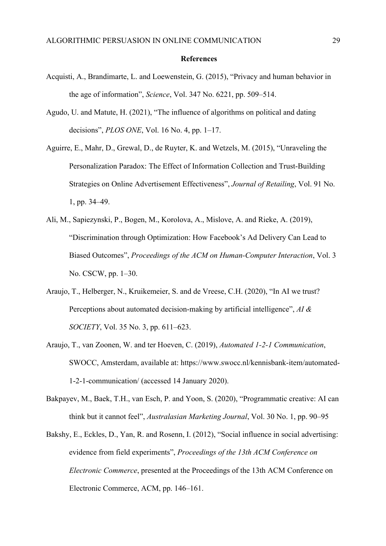#### **References**

- Acquisti, A., Brandimarte, L. and Loewenstein, G. (2015), "Privacy and human behavior in the age of information", *Science*, Vol. 347 No. 6221, pp. 509–514.
- Agudo, U. and Matute, H. (2021), "The influence of algorithms on political and dating decisions", *PLOS ONE*, Vol. 16 No. 4, pp. 1–17.
- Aguirre, E., Mahr, D., Grewal, D., de Ruyter, K. and Wetzels, M. (2015), "Unraveling the Personalization Paradox: The Effect of Information Collection and Trust-Building Strategies on Online Advertisement Effectiveness", *Journal of Retailing*, Vol. 91 No. 1, pp. 34–49.
- Ali, M., Sapiezynski, P., Bogen, M., Korolova, A., Mislove, A. and Rieke, A. (2019), "Discrimination through Optimization: How Facebook's Ad Delivery Can Lead to Biased Outcomes", *Proceedings of the ACM on Human-Computer Interaction*, Vol. 3 No. CSCW, pp. 1–30.
- Araujo, T., Helberger, N., Kruikemeier, S. and de Vreese, C.H. (2020), "In AI we trust? Perceptions about automated decision-making by artificial intelligence", *AI & SOCIETY*, Vol. 35 No. 3, pp. 611–623.
- Araujo, T., van Zoonen, W. and ter Hoeven, C. (2019), *Automated 1-2-1 Communication*, SWOCC, Amsterdam, available at: https://www.swocc.nl/kennisbank-item/automated-1-2-1-communication/ (accessed 14 January 2020).
- Bakpayev, M., Baek, T.H., van Esch, P. and Yoon, S. (2020), "Programmatic creative: AI can think but it cannot feel", *Australasian Marketing Journal*, Vol. 30 No. 1, pp. 90–95
- Bakshy, E., Eckles, D., Yan, R. and Rosenn, I. (2012), "Social influence in social advertising: evidence from field experiments", *Proceedings of the 13th ACM Conference on Electronic Commerce*, presented at the Proceedings of the 13th ACM Conference on Electronic Commerce, ACM, pp. 146–161.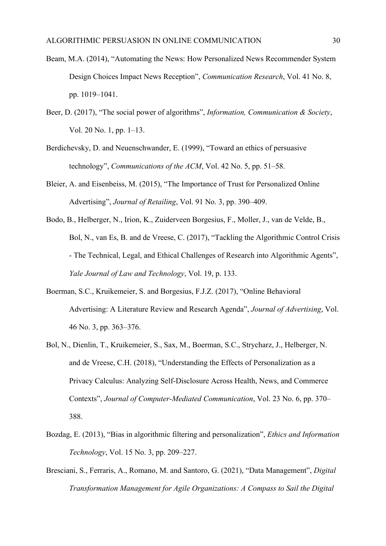- Beam, M.A. (2014), "Automating the News: How Personalized News Recommender System Design Choices Impact News Reception", *Communication Research*, Vol. 41 No. 8, pp. 1019–1041.
- Beer, D. (2017), "The social power of algorithms", *Information, Communication & Society*, Vol. 20 No. 1, pp. 1–13.
- Berdichevsky, D. and Neuenschwander, E. (1999), "Toward an ethics of persuasive technology", *Communications of the ACM*, Vol. 42 No. 5, pp. 51–58.
- Bleier, A. and Eisenbeiss, M. (2015), "The Importance of Trust for Personalized Online Advertising", *Journal of Retailing*, Vol. 91 No. 3, pp. 390–409.
- Bodo, B., Helberger, N., Irion, K., Zuiderveen Borgesius, F., Moller, J., van de Velde, B., Bol, N., van Es, B. and de Vreese, C. (2017), "Tackling the Algorithmic Control Crisis - The Technical, Legal, and Ethical Challenges of Research into Algorithmic Agents", *Yale Journal of Law and Technology*, Vol. 19, p. 133.
- Boerman, S.C., Kruikemeier, S. and Borgesius, F.J.Z. (2017), "Online Behavioral Advertising: A Literature Review and Research Agenda", *Journal of Advertising*, Vol. 46 No. 3, pp. 363–376.
- Bol, N., Dienlin, T., Kruikemeier, S., Sax, M., Boerman, S.C., Strycharz, J., Helberger, N. and de Vreese, C.H. (2018), "Understanding the Effects of Personalization as a Privacy Calculus: Analyzing Self-Disclosure Across Health, News, and Commerce Contexts", *Journal of Computer-Mediated Communication*, Vol. 23 No. 6, pp. 370– 388.
- Bozdag, E. (2013), "Bias in algorithmic filtering and personalization", *Ethics and Information Technology*, Vol. 15 No. 3, pp. 209–227.
- Bresciani, S., Ferraris, A., Romano, M. and Santoro, G. (2021), "Data Management", *Digital Transformation Management for Agile Organizations: A Compass to Sail the Digital*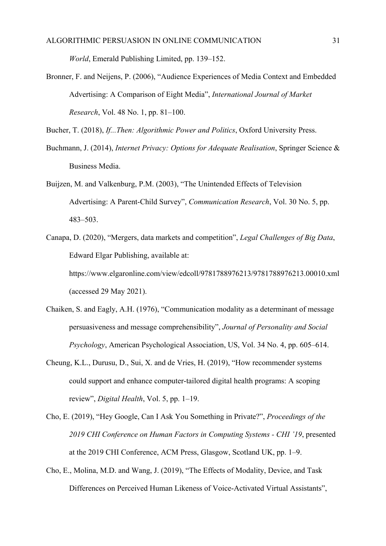*World*, Emerald Publishing Limited, pp. 139–152.

Bronner, F. and Neijens, P. (2006), "Audience Experiences of Media Context and Embedded Advertising: A Comparison of Eight Media", *International Journal of Market Research*, Vol. 48 No. 1, pp. 81–100.

Bucher, T. (2018), *If...Then: Algorithmic Power and Politics*, Oxford University Press.

- Buchmann, J. (2014), *Internet Privacy: Options for Adequate Realisation*, Springer Science & Business Media.
- Buijzen, M. and Valkenburg, P.M. (2003), "The Unintended Effects of Television Advertising: A Parent-Child Survey", *Communication Research*, Vol. 30 No. 5, pp. 483–503.
- Canapa, D. (2020), "Mergers, data markets and competition", *Legal Challenges of Big Data*, Edward Elgar Publishing, available at: https://www.elgaronline.com/view/edcoll/9781788976213/9781788976213.00010.xml (accessed 29 May 2021).
- Chaiken, S. and Eagly, A.H. (1976), "Communication modality as a determinant of message persuasiveness and message comprehensibility", *Journal of Personality and Social Psychology*, American Psychological Association, US, Vol. 34 No. 4, pp. 605–614.
- Cheung, K.L., Durusu, D., Sui, X. and de Vries, H. (2019), "How recommender systems could support and enhance computer-tailored digital health programs: A scoping review", *Digital Health*, Vol. 5, pp. 1–19.
- Cho, E. (2019), "Hey Google, Can I Ask You Something in Private?", *Proceedings of the 2019 CHI Conference on Human Factors in Computing Systems - CHI '19*, presented at the 2019 CHI Conference, ACM Press, Glasgow, Scotland UK, pp. 1–9.
- Cho, E., Molina, M.D. and Wang, J. (2019), "The Effects of Modality, Device, and Task Differences on Perceived Human Likeness of Voice-Activated Virtual Assistants",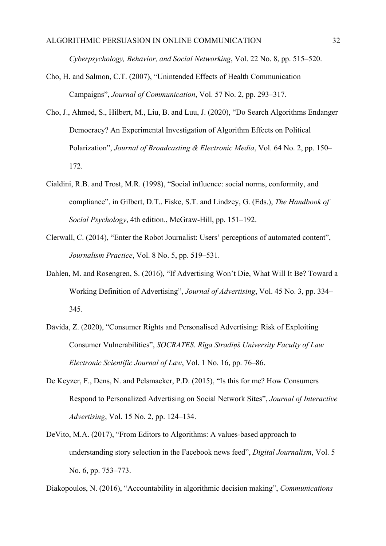*Cyberpsychology, Behavior, and Social Networking*, Vol. 22 No. 8, pp. 515–520.

- Cho, H. and Salmon, C.T. (2007), "Unintended Effects of Health Communication Campaigns", *Journal of Communication*, Vol. 57 No. 2, pp. 293–317.
- Cho, J., Ahmed, S., Hilbert, M., Liu, B. and Luu, J. (2020), "Do Search Algorithms Endanger Democracy? An Experimental Investigation of Algorithm Effects on Political Polarization", *Journal of Broadcasting & Electronic Media*, Vol. 64 No. 2, pp. 150– 172.
- Cialdini, R.B. and Trost, M.R. (1998), "Social influence: social norms, conformity, and compliance", in Gilbert, D.T., Fiske, S.T. and Lindzey, G. (Eds.), *The Handbook of Social Psychology*, 4th edition., McGraw-Hill, pp. 151–192.
- Clerwall, C. (2014), "Enter the Robot Journalist: Users' perceptions of automated content", *Journalism Practice*, Vol. 8 No. 5, pp. 519–531.
- Dahlen, M. and Rosengren, S. (2016), "If Advertising Won't Die, What Will It Be? Toward a Working Definition of Advertising", *Journal of Advertising*, Vol. 45 No. 3, pp. 334– 345.
- Dāvida, Z. (2020), "Consumer Rights and Personalised Advertising: Risk of Exploiting Consumer Vulnerabilities", *SOCRATES. Rīga Stradiņš University Faculty of Law Electronic Scientific Journal of Law*, Vol. 1 No. 16, pp. 76–86.
- De Keyzer, F., Dens, N. and Pelsmacker, P.D. (2015), "Is this for me? How Consumers Respond to Personalized Advertising on Social Network Sites", *Journal of Interactive Advertising*, Vol. 15 No. 2, pp. 124–134.
- DeVito, M.A. (2017), "From Editors to Algorithms: A values-based approach to understanding story selection in the Facebook news feed", *Digital Journalism*, Vol. 5 No. 6, pp. 753–773.

Diakopoulos, N. (2016), "Accountability in algorithmic decision making", *Communications*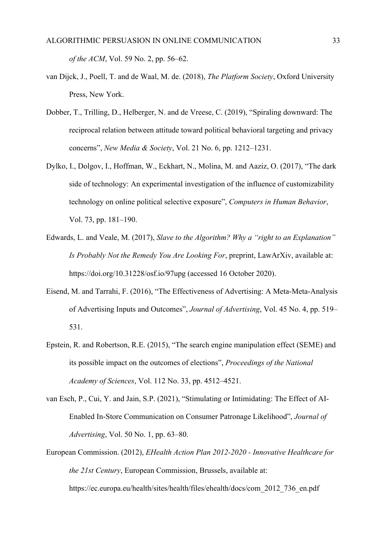*of the ACM*, Vol. 59 No. 2, pp. 56–62.

- van Dijck, J., Poell, T. and de Waal, M. de. (2018), *The Platform Society*, Oxford University Press, New York.
- Dobber, T., Trilling, D., Helberger, N. and de Vreese, C. (2019), "Spiraling downward: The reciprocal relation between attitude toward political behavioral targeting and privacy concerns", *New Media & Society*, Vol. 21 No. 6, pp. 1212–1231.
- Dylko, I., Dolgov, I., Hoffman, W., Eckhart, N., Molina, M. and Aaziz, O. (2017), "The dark side of technology: An experimental investigation of the influence of customizability technology on online political selective exposure", *Computers in Human Behavior*, Vol. 73, pp. 181–190.
- Edwards, L. and Veale, M. (2017), *Slave to the Algorithm? Why a "right to an Explanation" Is Probably Not the Remedy You Are Looking For*, preprint, LawArXiv, available at: https://doi.org/10.31228/osf.io/97upg (accessed 16 October 2020).
- Eisend, M. and Tarrahi, F. (2016), "The Effectiveness of Advertising: A Meta-Meta-Analysis of Advertising Inputs and Outcomes", *Journal of Advertising*, Vol. 45 No. 4, pp. 519– 531.
- Epstein, R. and Robertson, R.E. (2015), "The search engine manipulation effect (SEME) and its possible impact on the outcomes of elections", *Proceedings of the National Academy of Sciences*, Vol. 112 No. 33, pp. 4512–4521.
- van Esch, P., Cui, Y. and Jain, S.P. (2021), "Stimulating or Intimidating: The Effect of AI-Enabled In-Store Communication on Consumer Patronage Likelihood", *Journal of Advertising*, Vol. 50 No. 1, pp. 63–80.
- European Commission. (2012), *EHealth Action Plan 2012-2020 - Innovative Healthcare for the 21st Century*, European Commission, Brussels, available at: https://ec.europa.eu/health/sites/health/files/ehealth/docs/com\_2012\_736\_en.pdf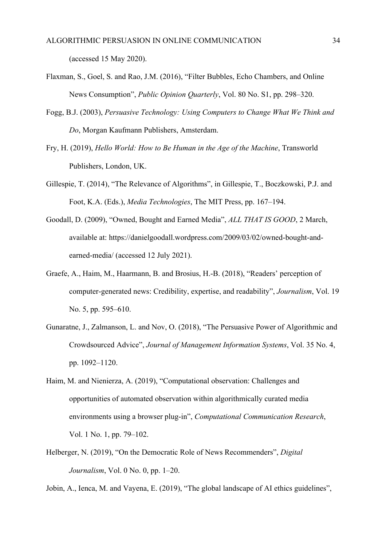(accessed 15 May 2020).

- Flaxman, S., Goel, S. and Rao, J.M. (2016), "Filter Bubbles, Echo Chambers, and Online News Consumption", *Public Opinion Quarterly*, Vol. 80 No. S1, pp. 298–320.
- Fogg, B.J. (2003), *Persuasive Technology: Using Computers to Change What We Think and Do*, Morgan Kaufmann Publishers, Amsterdam.
- Fry, H. (2019), *Hello World: How to Be Human in the Age of the Machine*, Transworld Publishers, London, UK.
- Gillespie, T. (2014), "The Relevance of Algorithms", in Gillespie, T., Boczkowski, P.J. and Foot, K.A. (Eds.), *Media Technologies*, The MIT Press, pp. 167–194.
- Goodall, D. (2009), "Owned, Bought and Earned Media", *ALL THAT IS GOOD*, 2 March, available at: https://danielgoodall.wordpress.com/2009/03/02/owned-bought-andearned-media/ (accessed 12 July 2021).
- Graefe, A., Haim, M., Haarmann, B. and Brosius, H.-B. (2018), "Readers' perception of computer-generated news: Credibility, expertise, and readability", *Journalism*, Vol. 19 No. 5, pp. 595–610.
- Gunaratne, J., Zalmanson, L. and Nov, O. (2018), "The Persuasive Power of Algorithmic and Crowdsourced Advice", *Journal of Management Information Systems*, Vol. 35 No. 4, pp. 1092–1120.
- Haim, M. and Nienierza, A. (2019), "Computational observation: Challenges and opportunities of automated observation within algorithmically curated media environments using a browser plug-in", *Computational Communication Research*, Vol. 1 No. 1, pp. 79–102.
- Helberger, N. (2019), "On the Democratic Role of News Recommenders", *Digital Journalism*, Vol. 0 No. 0, pp. 1–20.

Jobin, A., Ienca, M. and Vayena, E. (2019), "The global landscape of AI ethics guidelines",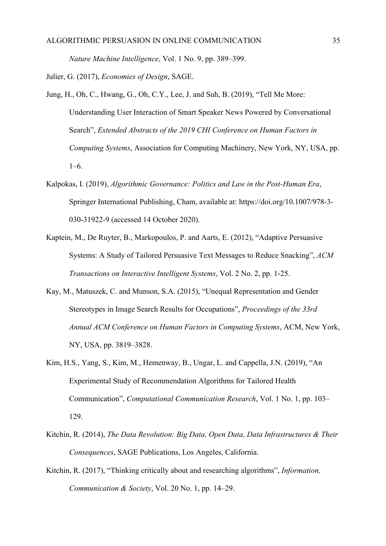*Nature Machine Intelligence*, Vol. 1 No. 9, pp. 389–399.

Julier, G. (2017), *Economies of Design*, SAGE.

- Jung, H., Oh, C., Hwang, G., Oh, C.Y., Lee, J. and Suh, B. (2019), "Tell Me More: Understanding User Interaction of Smart Speaker News Powered by Conversational Search", *Extended Abstracts of the 2019 CHI Conference on Human Factors in Computing Systems*, Association for Computing Machinery, New York, NY, USA, pp. 1–6.
- Kalpokas, I. (2019), *Algorithmic Governance: Politics and Law in the Post-Human Era*, Springer International Publishing, Cham, available at: https://doi.org/10.1007/978-3- 030-31922-9 (accessed 14 October 2020).
- Kaptein, M., De Ruyter, B., Markopoulos, P. and Aarts, E. (2012), "Adaptive Persuasive Systems: A Study of Tailored Persuasive Text Messages to Reduce Snacking", *ACM Transactions on Interactive Intelligent Systems*, Vol. 2 No. 2, pp. 1-25.
- Kay, M., Matuszek, C. and Munson, S.A. (2015), "Unequal Representation and Gender Stereotypes in Image Search Results for Occupations", *Proceedings of the 33rd Annual ACM Conference on Human Factors in Computing Systems*, ACM, New York, NY, USA, pp. 3819–3828.
- Kim, H.S., Yang, S., Kim, M., Hemenway, B., Ungar, L. and Cappella, J.N. (2019), "An Experimental Study of Recommendation Algorithms for Tailored Health Communication", *Computational Communication Research*, Vol. 1 No. 1, pp. 103– 129.
- Kitchin, R. (2014), *The Data Revolution: Big Data, Open Data, Data Infrastructures & Their Consequences*, SAGE Publications, Los Angeles, California.
- Kitchin, R. (2017), "Thinking critically about and researching algorithms", *Information, Communication & Society*, Vol. 20 No. 1, pp. 14–29.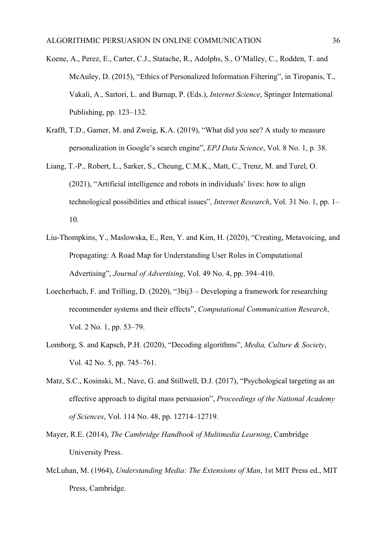- Koene, A., Perez, E., Carter, C.J., Statache, R., Adolphs, S., O'Malley, C., Rodden, T. and McAuley, D. (2015), "Ethics of Personalized Information Filtering", in Tiropanis, T., Vakali, A., Sartori, L. and Burnap, P. (Eds.), *Internet Science*, Springer International Publishing, pp. 123–132.
- Krafft, T.D., Gamer, M. and Zweig, K.A. (2019), "What did you see? A study to measure personalization in Google's search engine", *EPJ Data Science*, Vol. 8 No. 1, p. 38.
- Liang, T.-P., Robert, L., Sarker, S., Cheung, C.M.K., Matt, C., Trenz, M. and Turel, O. (2021), "Artificial intelligence and robots in individuals' lives: how to align technological possibilities and ethical issues", *Internet Research*, Vol. 31 No. 1, pp. 1– 10.
- Liu-Thompkins, Y., Maslowska, E., Ren, Y. and Kim, H. (2020), "Creating, Metavoicing, and Propagating: A Road Map for Understanding User Roles in Computational Advertising", *Journal of Advertising*, Vol. 49 No. 4, pp. 394–410.
- Loecherbach, F. and Trilling, D. (2020), "3bij3 Developing a framework for researching recommender systems and their effects", *Computational Communication Research*, Vol. 2 No. 1, pp. 53–79.
- Lomborg, S. and Kapsch, P.H. (2020), "Decoding algorithms", *Media, Culture & Society*, Vol. 42 No. 5, pp. 745–761.
- Matz, S.C., Kosinski, M., Nave, G. and Stillwell, D.J. (2017), "Psychological targeting as an effective approach to digital mass persuasion", *Proceedings of the National Academy of Sciences*, Vol. 114 No. 48, pp. 12714–12719.
- Mayer, R.E. (2014), *The Cambridge Handbook of Multimedia Learning*, Cambridge University Press.
- McLuhan, M. (1964), *Understanding Media: The Extensions of Man*, 1st MIT Press ed., MIT Press, Cambridge.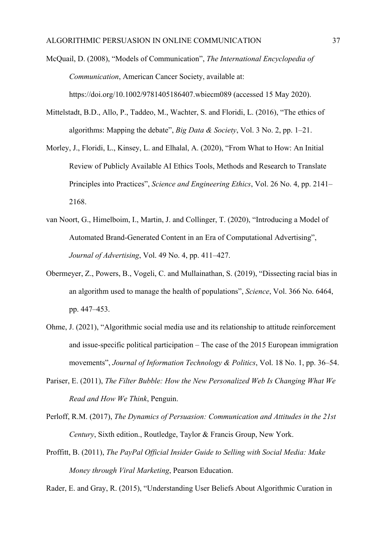McQuail, D. (2008), "Models of Communication", *The International Encyclopedia of Communication*, American Cancer Society, available at: https://doi.org/10.1002/9781405186407.wbiecm089 (accessed 15 May 2020).

- Mittelstadt, B.D., Allo, P., Taddeo, M., Wachter, S. and Floridi, L. (2016), "The ethics of algorithms: Mapping the debate", *Big Data & Society*, Vol. 3 No. 2, pp. 1–21.
- Morley, J., Floridi, L., Kinsey, L. and Elhalal, A. (2020), "From What to How: An Initial Review of Publicly Available AI Ethics Tools, Methods and Research to Translate Principles into Practices", *Science and Engineering Ethics*, Vol. 26 No. 4, pp. 2141– 2168.
- van Noort, G., Himelboim, I., Martin, J. and Collinger, T. (2020), "Introducing a Model of Automated Brand-Generated Content in an Era of Computational Advertising", *Journal of Advertising*, Vol. 49 No. 4, pp. 411–427.
- Obermeyer, Z., Powers, B., Vogeli, C. and Mullainathan, S. (2019), "Dissecting racial bias in an algorithm used to manage the health of populations", *Science*, Vol. 366 No. 6464, pp. 447–453.
- Ohme, J. (2021), "Algorithmic social media use and its relationship to attitude reinforcement and issue-specific political participation – The case of the 2015 European immigration movements", *Journal of Information Technology & Politics*, Vol. 18 No. 1, pp. 36–54.
- Pariser, E. (2011), *The Filter Bubble: How the New Personalized Web Is Changing What We Read and How We Think*, Penguin.
- Perloff, R.M. (2017), *The Dynamics of Persuasion: Communication and Attitudes in the 21st Century*, Sixth edition., Routledge, Taylor & Francis Group, New York.
- Proffitt, B. (2011), *The PayPal Official Insider Guide to Selling with Social Media: Make Money through Viral Marketing*, Pearson Education.

Rader, E. and Gray, R. (2015), "Understanding User Beliefs About Algorithmic Curation in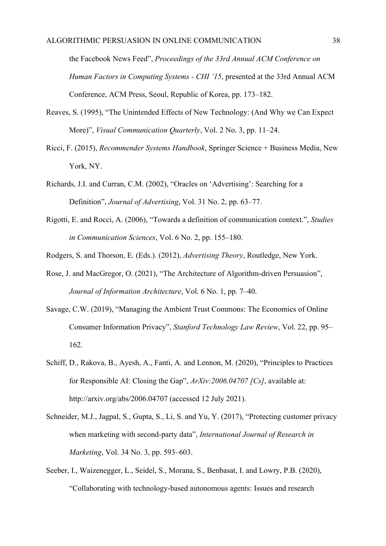the Facebook News Feed", *Proceedings of the 33rd Annual ACM Conference on Human Factors in Computing Systems - CHI '15*, presented at the 33rd Annual ACM Conference, ACM Press, Seoul, Republic of Korea, pp. 173–182.

- Reaves, S. (1995), "The Unintended Effects of New Technology: (And Why we Can Expect More)", *Visual Communication Quarterly*, Vol. 2 No. 3, pp. 11–24.
- Ricci, F. (2015), *Recommender Systems Handbook*, Springer Science + Business Media, New York, NY.
- Richards, J.I. and Curran, C.M. (2002), "Oracles on 'Advertising': Searching for a Definition", *Journal of Advertising*, Vol. 31 No. 2, pp. 63–77.
- Rigotti, E. and Rocci, A. (2006), "Towards a definition of communication context.", *Studies in Communication Sciences*, Vol. 6 No. 2, pp. 155–180.
- Rodgers, S. and Thorson, E. (Eds.). (2012), *Advertising Theory*, Routledge, New York.
- Rose, J. and MacGregor, O. (2021), "The Architecture of Algorithm-driven Persuasion", *Journal of Information Architecture*, Vol. 6 No. 1, pp. 7–40.
- Savage, C.W. (2019), "Managing the Ambient Trust Commons: The Economics of Online Consumer Information Privacy", *Stanford Technology Law Review*, Vol. 22, pp. 95– 162.
- Schiff, D., Rakova, B., Ayesh, A., Fanti, A. and Lennon, M. (2020), "Principles to Practices for Responsible AI: Closing the Gap", *ArXiv:2006.04707 [Cs]*, available at: http://arxiv.org/abs/2006.04707 (accessed 12 July 2021).
- Schneider, M.J., Jagpal, S., Gupta, S., Li, S. and Yu, Y. (2017), "Protecting customer privacy when marketing with second-party data", *International Journal of Research in Marketing*, Vol. 34 No. 3, pp. 593–603.
- Seeber, I., Waizenegger, L., Seidel, S., Morana, S., Benbasat, I. and Lowry, P.B. (2020), "Collaborating with technology-based autonomous agents: Issues and research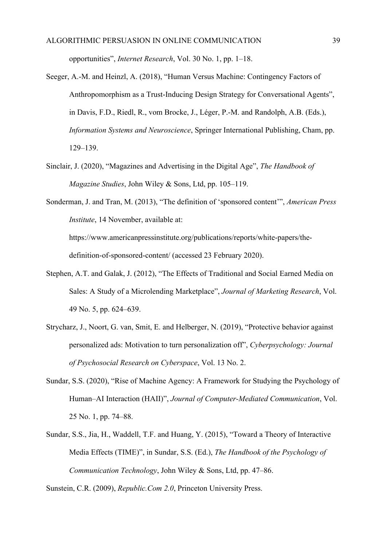opportunities", *Internet Research*, Vol. 30 No. 1, pp. 1–18.

- Seeger, A.-M. and Heinzl, A. (2018), "Human Versus Machine: Contingency Factors of Anthropomorphism as a Trust-Inducing Design Strategy for Conversational Agents", in Davis, F.D., Riedl, R., vom Brocke, J., Léger, P.-M. and Randolph, A.B. (Eds.), *Information Systems and Neuroscience*, Springer International Publishing, Cham, pp. 129–139.
- Sinclair, J. (2020), "Magazines and Advertising in the Digital Age", *The Handbook of Magazine Studies*, John Wiley & Sons, Ltd, pp. 105–119.
- Sonderman, J. and Tran, M. (2013), "The definition of 'sponsored content'", *American Press Institute*, 14 November, available at: https://www.americanpressinstitute.org/publications/reports/white-papers/the-

definition-of-sponsored-content/ (accessed 23 February 2020).

- Stephen, A.T. and Galak, J. (2012), "The Effects of Traditional and Social Earned Media on Sales: A Study of a Microlending Marketplace", *Journal of Marketing Research*, Vol. 49 No. 5, pp. 624–639.
- Strycharz, J., Noort, G. van, Smit, E. and Helberger, N. (2019), "Protective behavior against personalized ads: Motivation to turn personalization off", *Cyberpsychology: Journal of Psychosocial Research on Cyberspace*, Vol. 13 No. 2.
- Sundar, S.S. (2020), "Rise of Machine Agency: A Framework for Studying the Psychology of Human–AI Interaction (HAII)", *Journal of Computer-Mediated Communication*, Vol. 25 No. 1, pp. 74–88.
- Sundar, S.S., Jia, H., Waddell, T.F. and Huang, Y. (2015), "Toward a Theory of Interactive Media Effects (TIME)", in Sundar, S.S. (Ed.), *The Handbook of the Psychology of Communication Technology*, John Wiley & Sons, Ltd, pp. 47–86.

Sunstein, C.R. (2009), *Republic.Com 2.0*, Princeton University Press.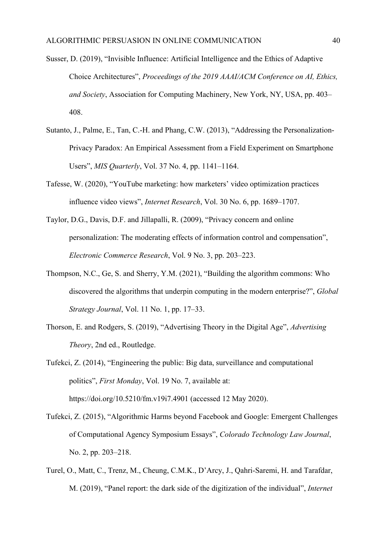- Susser, D. (2019), "Invisible Influence: Artificial Intelligence and the Ethics of Adaptive Choice Architectures", *Proceedings of the 2019 AAAI/ACM Conference on AI, Ethics, and Society*, Association for Computing Machinery, New York, NY, USA, pp. 403– 408.
- Sutanto, J., Palme, E., Tan, C.-H. and Phang, C.W. (2013), "Addressing the Personalization-Privacy Paradox: An Empirical Assessment from a Field Experiment on Smartphone Users", *MIS Quarterly*, Vol. 37 No. 4, pp. 1141–1164.
- Tafesse, W. (2020), "YouTube marketing: how marketers' video optimization practices influence video views", *Internet Research*, Vol. 30 No. 6, pp. 1689–1707.
- Taylor, D.G., Davis, D.F. and Jillapalli, R. (2009), "Privacy concern and online personalization: The moderating effects of information control and compensation", *Electronic Commerce Research*, Vol. 9 No. 3, pp. 203–223.
- Thompson, N.C., Ge, S. and Sherry, Y.M. (2021), "Building the algorithm commons: Who discovered the algorithms that underpin computing in the modern enterprise?", *Global Strategy Journal*, Vol. 11 No. 1, pp. 17–33.
- Thorson, E. and Rodgers, S. (2019), "Advertising Theory in the Digital Age", *Advertising Theory*, 2nd ed., Routledge.
- Tufekci, Z. (2014), "Engineering the public: Big data, surveillance and computational politics", *First Monday*, Vol. 19 No. 7, available at: https://doi.org/10.5210/fm.v19i7.4901 (accessed 12 May 2020).
- Tufekci, Z. (2015), "Algorithmic Harms beyond Facebook and Google: Emergent Challenges of Computational Agency Symposium Essays", *Colorado Technology Law Journal*, No. 2, pp. 203–218.
- Turel, O., Matt, C., Trenz, M., Cheung, C.M.K., D'Arcy, J., Qahri-Saremi, H. and Tarafdar, M. (2019), "Panel report: the dark side of the digitization of the individual", *Internet*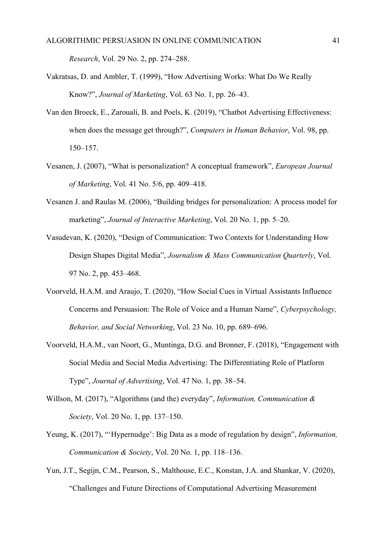*Research*, Vol. 29 No. 2, pp. 274–288.

- Vakratsas, D. and Ambler, T. (1999), "How Advertising Works: What Do We Really Know?", *Journal of Marketing*, Vol. 63 No. 1, pp. 26–43.
- Van den Broeck, E., Zarouali, B. and Poels, K. (2019), "Chatbot Advertising Effectiveness: when does the message get through?", *Computers in Human Behavior*, Vol. 98, pp. 150–157.
- Vesanen, J. (2007), "What is personalization? A conceptual framework", *European Journal of Marketing*, Vol. 41 No. 5/6, pp. 409–418.
- Vesanen J. and Raulas M. (2006), "Building bridges for personalization: A process model for marketing", *Journal of Interactive Marketing*, Vol. 20 No. 1, pp. 5–20.
- Vasudevan, K. (2020), "Design of Communication: Two Contexts for Understanding How Design Shapes Digital Media", *Journalism & Mass Communication Quarterly*, Vol. 97 No. 2, pp. 453–468.
- Voorveld, H.A.M. and Araujo, T. (2020), "How Social Cues in Virtual Assistants Influence Concerns and Persuasion: The Role of Voice and a Human Name", *Cyberpsychology, Behavior, and Social Networking*, Vol. 23 No. 10, pp. 689–696.
- Voorveld, H.A.M., van Noort, G., Muntinga, D.G. and Bronner, F. (2018), "Engagement with Social Media and Social Media Advertising: The Differentiating Role of Platform Type", *Journal of Advertising*, Vol. 47 No. 1, pp. 38–54.
- Willson, M. (2017), "Algorithms (and the) everyday", *Information, Communication & Society*, Vol. 20 No. 1, pp. 137–150.
- Yeung, K. (2017), "'Hypernudge': Big Data as a mode of regulation by design", *Information, Communication & Society*, Vol. 20 No. 1, pp. 118–136.
- Yun, J.T., Segijn, C.M., Pearson, S., Malthouse, E.C., Konstan, J.A. and Shankar, V. (2020), "Challenges and Future Directions of Computational Advertising Measurement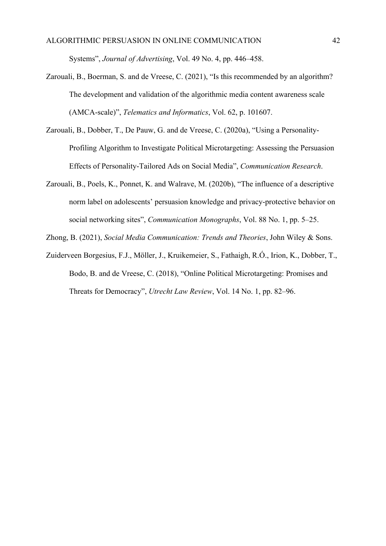Systems", *Journal of Advertising*, Vol. 49 No. 4, pp. 446–458.

- Zarouali, B., Boerman, S. and de Vreese, C. (2021), "Is this recommended by an algorithm? The development and validation of the algorithmic media content awareness scale (AMCA-scale)", *Telematics and Informatics*, Vol. 62, p. 101607.
- Zarouali, B., Dobber, T., De Pauw, G. and de Vreese, C. (2020a), "Using a Personality-Profiling Algorithm to Investigate Political Microtargeting: Assessing the Persuasion Effects of Personality-Tailored Ads on Social Media", *Communication Research*.
- Zarouali, B., Poels, K., Ponnet, K. and Walrave, M. (2020b), "The influence of a descriptive norm label on adolescents' persuasion knowledge and privacy-protective behavior on social networking sites", *Communication Monographs*, Vol. 88 No. 1, pp. 5–25.

Zhong, B. (2021), *Social Media Communication: Trends and Theories*, John Wiley & Sons.

Zuiderveen Borgesius, F.J., Möller, J., Kruikemeier, S., Fathaigh, R.Ó., Irion, K., Dobber, T., Bodo, B. and de Vreese, C. (2018), "Online Political Microtargeting: Promises and Threats for Democracy", *Utrecht Law Review*, Vol. 14 No. 1, pp. 82–96.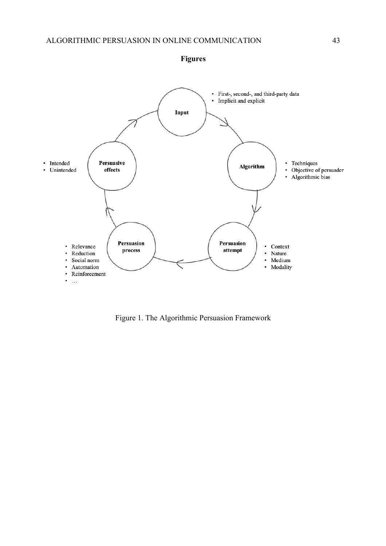

Figure 1. The Algorithmic Persuasion Framework